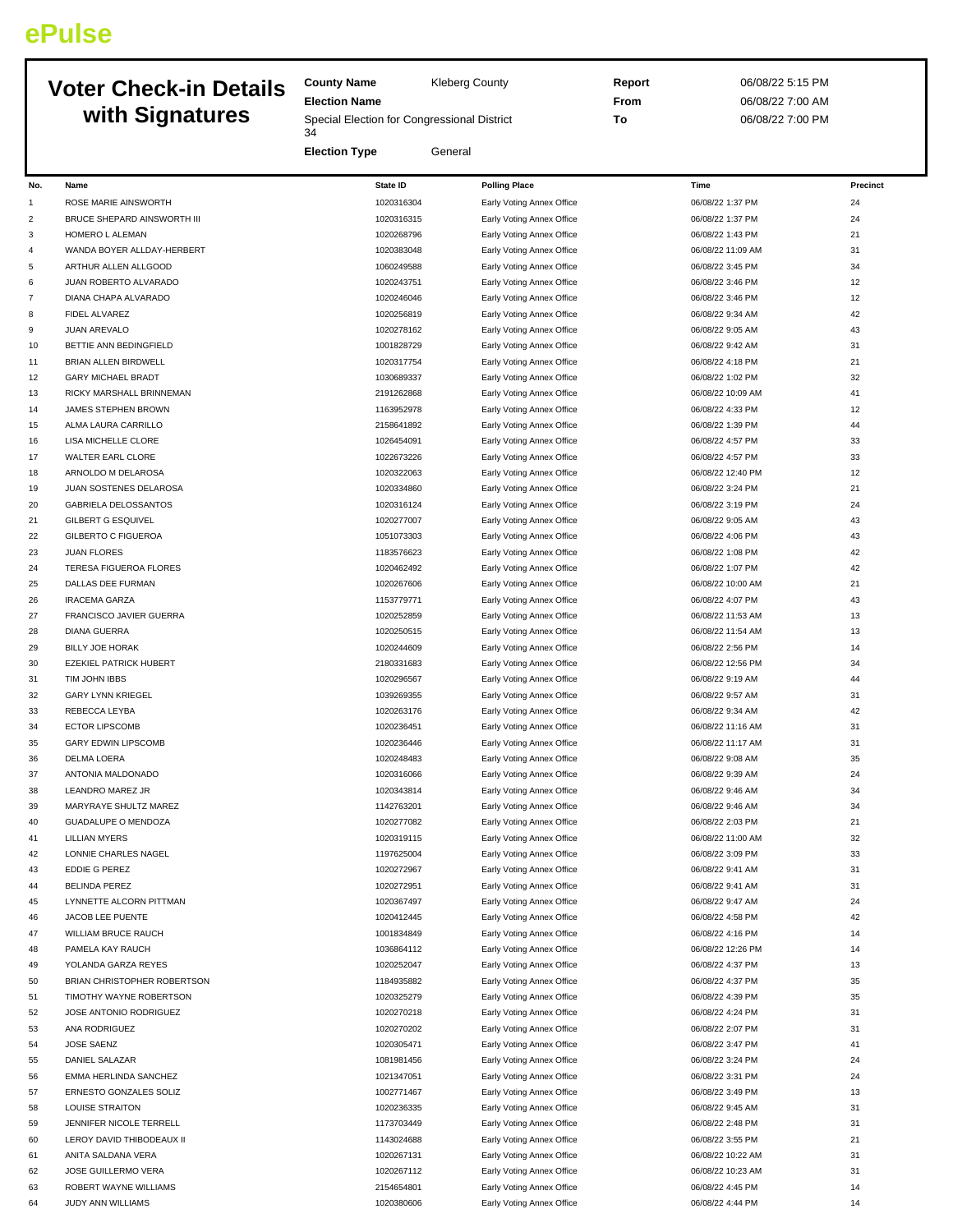## **ePulse**

## **Voter Check-in Details with Signatures**

**County Name** Kleberg County **Election Name** Special Election for Congressional District 

**Election Type** General

**Report** 06/08/22 5:15 PM **From** 06/08/22 7:00 AM **To** 06/08/22 7:00 PM

| No.            | Name                             | <b>State ID</b> | <b>Polling Place</b>                                   | Time              | Precinct |
|----------------|----------------------------------|-----------------|--------------------------------------------------------|-------------------|----------|
| $\mathbf{1}$   | ROSE MARIE AINSWORTH             | 1020316304      | Early Voting Annex Office                              | 06/08/22 1:37 PM  | 24       |
| $\overline{c}$ | BRUCE SHEPARD AINSWORTH III      | 1020316315      | Early Voting Annex Office                              | 06/08/22 1:37 PM  | 24       |
| 3              | HOMERO L ALEMAN                  | 1020268796      | Early Voting Annex Office                              | 06/08/22 1:43 PM  | 21       |
| 4              | WANDA BOYER ALLDAY-HERBERT       | 1020383048      | Early Voting Annex Office                              | 06/08/22 11:09 AM | 31       |
| 5              | ARTHUR ALLEN ALLGOOD             | 1060249588      | Early Voting Annex Office                              | 06/08/22 3:45 PM  | 34       |
| 6              | JUAN ROBERTO ALVARADO            | 1020243751      | Early Voting Annex Office                              | 06/08/22 3:46 PM  | 12       |
| $\overline{7}$ | DIANA CHAPA ALVARADO             | 1020246046      | Early Voting Annex Office                              | 06/08/22 3:46 PM  | 12       |
| 8              | FIDEL ALVAREZ                    | 1020256819      | Early Voting Annex Office                              | 06/08/22 9:34 AM  | 42       |
| 9              | JUAN AREVALO                     | 1020278162      | Early Voting Annex Office                              | 06/08/22 9:05 AM  | 43       |
| 10             | BETTIE ANN BEDINGFIELD           | 1001828729      | Early Voting Annex Office                              | 06/08/22 9:42 AM  | 31       |
| 11             | BRIAN ALLEN BIRDWELL             | 1020317754      | Early Voting Annex Office                              | 06/08/22 4:18 PM  | 21       |
| 12             | <b>GARY MICHAEL BRADT</b>        | 1030689337      |                                                        | 06/08/22 1:02 PM  | 32       |
|                | RICKY MARSHALL BRINNEMAN         | 2191262868      | Early Voting Annex Office<br>Early Voting Annex Office | 06/08/22 10:09 AM | 41       |
| 13             |                                  |                 |                                                        |                   | 12       |
| 14             | JAMES STEPHEN BROWN              | 1163952978      | Early Voting Annex Office                              | 06/08/22 4:33 PM  |          |
| 15             | ALMA LAURA CARRILLO              | 2158641892      | Early Voting Annex Office                              | 06/08/22 1:39 PM  | 44       |
| 16             | LISA MICHELLE CLORE              | 1026454091      | Early Voting Annex Office                              | 06/08/22 4:57 PM  | 33       |
| 17             | WALTER EARL CLORE                | 1022673226      | Early Voting Annex Office                              | 06/08/22 4:57 PM  | 33       |
| 18             | ARNOLDO M DELAROSA               | 1020322063      | Early Voting Annex Office                              | 06/08/22 12:40 PM | 12       |
| 19             | JUAN SOSTENES DELAROSA           | 1020334860      | Early Voting Annex Office                              | 06/08/22 3:24 PM  | 21       |
| 20             | <b>GABRIELA DELOSSANTOS</b>      | 1020316124      | Early Voting Annex Office                              | 06/08/22 3:19 PM  | 24       |
| 21             | <b>GILBERT G ESQUIVEL</b>        | 1020277007      | Early Voting Annex Office                              | 06/08/22 9:05 AM  | 43       |
| 22             | <b>GILBERTO C FIGUEROA</b>       | 1051073303      | Early Voting Annex Office                              | 06/08/22 4:06 PM  | 43       |
| 23             | <b>JUAN FLORES</b>               | 1183576623      | Early Voting Annex Office                              | 06/08/22 1:08 PM  | 42       |
| 24             | TERESA FIGUEROA FLORES           | 1020462492      | Early Voting Annex Office                              | 06/08/22 1:07 PM  | 42       |
| 25             | DALLAS DEE FURMAN                | 1020267606      | Early Voting Annex Office                              | 06/08/22 10:00 AM | 21       |
| 26             | <b>IRACEMA GARZA</b>             | 1153779771      | Early Voting Annex Office                              | 06/08/22 4:07 PM  | 43       |
| 27             | <b>FRANCISCO JAVIER GUERRA</b>   | 1020252859      | Early Voting Annex Office                              | 06/08/22 11:53 AM | 13       |
| 28             | <b>DIANA GUERRA</b>              | 1020250515      | Early Voting Annex Office                              | 06/08/22 11:54 AM | 13       |
| 29             | <b>BILLY JOE HORAK</b>           | 1020244609      | Early Voting Annex Office                              | 06/08/22 2:56 PM  | 14       |
| 30             | <b>EZEKIEL PATRICK HUBERT</b>    | 2180331683      | Early Voting Annex Office                              | 06/08/22 12:56 PM | 34       |
| 31             | TIM JOHN IBBS                    | 1020296567      | Early Voting Annex Office                              | 06/08/22 9:19 AM  | 44       |
| 32             | <b>GARY LYNN KRIEGEL</b>         | 1039269355      | Early Voting Annex Office                              | 06/08/22 9:57 AM  | 31       |
| 33             | REBECCA LEYBA                    | 1020263176      | Early Voting Annex Office                              | 06/08/22 9:34 AM  | 42       |
| 34             | <b>ECTOR LIPSCOMB</b>            | 1020236451      | Early Voting Annex Office                              | 06/08/22 11:16 AM | 31       |
| 35             | <b>GARY EDWIN LIPSCOMB</b>       | 1020236446      | Early Voting Annex Office                              | 06/08/22 11:17 AM | 31       |
| 36             |                                  | 1020248483      |                                                        |                   | 35       |
|                | DELMA LOERA<br>ANTONIA MALDONADO |                 | Early Voting Annex Office                              | 06/08/22 9:08 AM  | 24       |
| 37             |                                  | 1020316066      | Early Voting Annex Office                              | 06/08/22 9:39 AM  |          |
| 38             | LEANDRO MAREZ JR                 | 1020343814      | Early Voting Annex Office                              | 06/08/22 9:46 AM  | 34       |
| 39             | MARYRAYE SHULTZ MAREZ            | 1142763201      | Early Voting Annex Office                              | 06/08/22 9:46 AM  | 34       |
| 40             | GUADALUPE O MENDOZA              | 1020277082      | Early Voting Annex Office                              | 06/08/22 2:03 PM  | 21       |
| 41             | <b>LILLIAN MYERS</b>             | 1020319115      | Early Voting Annex Office                              | 06/08/22 11:00 AM | 32       |
| 42             | LONNIE CHARLES NAGEL             | 1197625004      | Early Voting Annex Office                              | 06/08/22 3:09 PM  | 33       |
| 43             | <b>EDDIE G PEREZ</b>             | 1020272967      | Early Voting Annex Office                              | 06/08/22 9:41 AM  | 31       |
| 44             | <b>BELINDA PEREZ</b>             | 1020272951      | Early Voting Annex Office                              | 06/08/22 9:41 AM  | 31       |
| 45             | LYNNETTE ALCORN PITTMAN          | 1020367497      | Early Voting Annex Office                              | 06/08/22 9:47 AM  | 24       |
| 46             | JACOB LEE PUENTE                 | 1020412445      | Early Voting Annex Office                              | 06/08/22 4:58 PM  | 42       |
| 47             | WILLIAM BRUCE RAUCH              | 1001834849      | Early Voting Annex Office                              | 06/08/22 4:16 PM  | 14       |
| 48             | PAMELA KAY RAUCH                 | 1036864112      | Early Voting Annex Office                              | 06/08/22 12:26 PM | 14       |
| 49             | YOLANDA GARZA REYES              | 1020252047      | Early Voting Annex Office                              | 06/08/22 4:37 PM  | 13       |
| 50             | BRIAN CHRISTOPHER ROBERTSON      | 1184935882      | Early Voting Annex Office                              | 06/08/22 4:37 PM  | 35       |
| 51             | TIMOTHY WAYNE ROBERTSON          | 1020325279      | Early Voting Annex Office                              | 06/08/22 4:39 PM  | 35       |
| 52             | JOSE ANTONIO RODRIGUEZ           | 1020270218      | Early Voting Annex Office                              | 06/08/22 4:24 PM  | 31       |
| 53             | ANA RODRIGUEZ                    | 1020270202      | Early Voting Annex Office                              | 06/08/22 2:07 PM  | 31       |
| 54             | JOSE SAENZ                       | 1020305471      | Early Voting Annex Office                              | 06/08/22 3:47 PM  | 41       |
| 55             | DANIEL SALAZAR                   | 1081981456      | Early Voting Annex Office                              | 06/08/22 3:24 PM  | 24       |
| 56             | EMMA HERLINDA SANCHEZ            | 1021347051      | Early Voting Annex Office                              | 06/08/22 3:31 PM  | 24       |
| 57             | ERNESTO GONZALES SOLIZ           | 1002771467      | Early Voting Annex Office                              | 06/08/22 3:49 PM  | 13       |
| 58             | <b>LOUISE STRAITON</b>           | 1020236335      | Early Voting Annex Office                              | 06/08/22 9:45 AM  | 31       |
|                |                                  |                 |                                                        |                   | 31       |
| 59             | JENNIFER NICOLE TERRELL          | 1173703449      | Early Voting Annex Office                              | 06/08/22 2:48 PM  |          |
| 60             | LEROY DAVID THIBODEAUX II        | 1143024688      | Early Voting Annex Office                              | 06/08/22 3:55 PM  | 21       |
| 61             | ANITA SALDANA VERA               | 1020267131      | Early Voting Annex Office                              | 06/08/22 10:22 AM | 31       |
| 62             | JOSE GUILLERMO VERA              | 1020267112      | Early Voting Annex Office                              | 06/08/22 10:23 AM | 31       |
| 63             | ROBERT WAYNE WILLIAMS            | 2154654801      | Early Voting Annex Office                              | 06/08/22 4:45 PM  | 14       |
| 64             | JUDY ANN WILLIAMS                | 1020380606      | Early Voting Annex Office                              | 06/08/22 4:44 PM  | 14       |